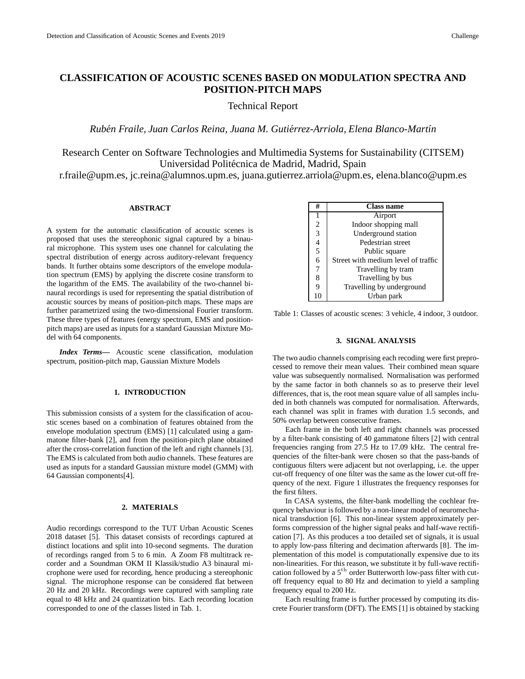# **CLASSIFICATION OF ACOUSTIC SCENES BASED ON MODULATION SPECTRA AND POSITION-PITCH MAPS**

Technical Report

*Ruben Fraile, Juan Carlos Reina, Juana M. Guti ´ errez-Arriola, Elena Blanco-Mart ´ ´ın*

Research Center on Software Technologies and Multimedia Systems for Sustainability (CITSEM) Universidad Politécnica de Madrid, Madrid, Spain

r.fraile@upm.es, jc.reina@alumnos.upm.es, juana.gutierrez.arriola@upm.es, elena.blanco@upm.es

## **ABSTRACT**

A system for the automatic classification of acoustic scenes is proposed that uses the stereophonic signal captured by a binaural microphone. This system uses one channel for calculating the spectral distribution of energy across auditory-relevant frequency bands. It further obtains some descriptors of the envelope modulation spectrum (EMS) by applying the discrete cosine transform to the logarithm of the EMS. The availability of the two-channel binaural recordings is used for representing the spatial distribution of acoustic sources by means of position-pitch maps. These maps are further parametrized using the two-dimensional Fourier transform. These three types of features (energy spectrum, EMS and positionpitch maps) are used as inputs for a standard Gaussian Mixture Model with 64 components.

*Index Terms***—** Acoustic scene classification, modulation spectrum, position-pitch map, Gaussian Mixture Models

## **1. INTRODUCTION**

This submission consists of a system for the classification of acoustic scenes based on a combination of features obtained from the envelope modulation spectrum (EMS) [1] calculated using a gammatone filter-bank [2], and from the position-pitch plane obtained after the cross-correlation function of the left and right channels [3]. The EMS is calculated from both audio channels. These features are used as inputs for a standard Gaussian mixture model (GMM) with 64 Gaussian components[4].

#### **2. MATERIALS**

Audio recordings correspond to the TUT Urban Acoustic Scenes 2018 dataset [5]. This dataset consists of recordings captured at distinct locations and split into 10-second segments. The duration of recordings ranged from 5 to 6 min. A Zoom F8 multitrack recorder and a Soundman OKM II Klassik/studio A3 binaural microphone were used for recording, hence producing a stereophonic signal. The microphone response can be considered flat between 20 Hz and 20 kHz. Recordings were captured with sampling rate equal to 48 kHz and 24 quantization bits. Each recording location corresponded to one of the classes listed in Tab. 1.

| #              | Class name                          |
|----------------|-------------------------------------|
|                | Airport                             |
| $\overline{2}$ | Indoor shopping mall                |
| $\overline{3}$ | Underground station                 |
| $\overline{4}$ | Pedestrian street                   |
| $\overline{5}$ | Public square                       |
| 6              | Street with medium level of traffic |
| 7              | Travelling by tram                  |
| 8              | Travelling by bus                   |
| 9              | Travelling by underground           |
|                | Urban park                          |

Table 1: Classes of acoustic scenes: 3 vehicle, 4 indoor, 3 outdoor.

#### **3. SIGNAL ANALYSIS**

The two audio channels comprising each recoding were first preprocessed to remove their mean values. Their combined mean square value was subsequently normalised. Normalisation was performed by the same factor in both channels so as to preserve their level differences, that is, the root mean square value of all samples included in both channels was computed for normalisation. Afterwards, each channel was split in frames with duration 1.5 seconds, and 50% overlap between consecutive frames.

Each frame in the both left and right channels was processed by a filter-bank consisting of 40 gammatone filters [2] with central frequencies ranging from 27.5 Hz to 17.09 kHz. The central frequencies of the filter-bank were chosen so that the pass-bands of contiguous filters were adjacent but not overlapping, i.e. the upper cut-off frequency of one filter was the same as the lower cut-off frequency of the next. Figure 1 illustrates the frequency responses for the first filters.

In CASA systems, the filter-bank modelling the cochlear frequency behaviour is followed by a non-linear model of neuromechanical transduction [6]. This non-linear system approximately performs compression of the higher signal peaks and half-wave rectification [7]. As this produces a too detailed set of signals, it is usual to apply low-pass filtering and decimation afterwards [8]. The implementation of this model is computationally expensive due to its non-linearities. For this reason, we substitute it by full-wave rectification followed by a  $5<sup>th</sup>$  order Butterworth low-pass filter with cutoff frequency equal to 80 Hz and decimation to yield a sampling frequency equal to 200 Hz.

Each resulting frame is further processed by computing its discrete Fourier transform (DFT). The EMS [1] is obtained by stacking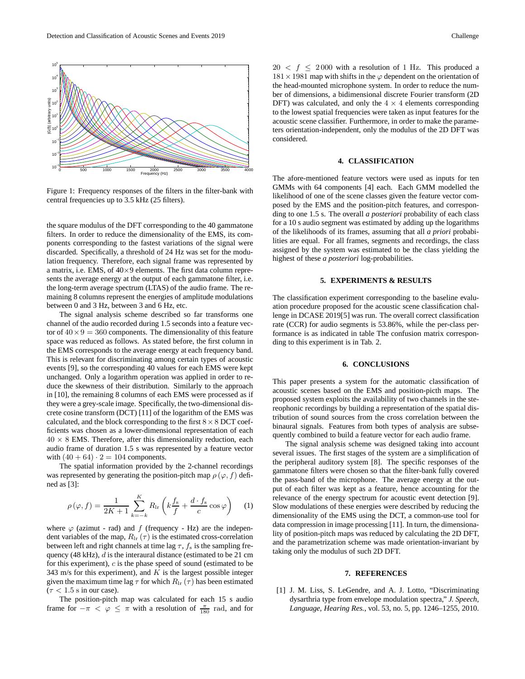

Figure 1: Frequency responses of the filters in the filter-bank with central frequencies up to 3.5 kHz (25 filters).

the square modulus of the DFT corresponding to the 40 gammatone filters. In order to reduce the dimensionality of the EMS, its components corresponding to the fastest variations of the signal were discarded. Specifically, a threshold of 24 Hz was set for the modulation frequency. Therefore, each signal frame was represented by a matrix, i.e. EMS, of  $40\times9$  elements. The first data column represents the average energy at the output of each gammatone filter, i.e. the long-term average spectrum (LTAS) of the audio frame. The remaining 8 columns represent the energies of amplitude modulations between 0 and 3 Hz, between 3 and 6 Hz, etc.

The signal analysis scheme described so far transforms one channel of the audio recorded during 1.5 seconds into a feature vector of  $40 \times 9 = 360$  components. The dimensionality of this feature space was reduced as follows. As stated before, the first column in the EMS corresponds to the average energy at each frequency band. This is relevant for discriminating among certain types of acoustic events [9], so the corresponding 40 values for each EMS were kept unchanged. Only a logarithm operation was applied in order to reduce the skewness of their distribution. Similarly to the approach in [10], the remaining 8 columns of each EMS were processed as if they were a grey-scale image. Specifically, the two-dimensional discrete cosine transform (DCT) [11] of the logarithm of the EMS was calculated, and the block corresponding to the first  $8 \times 8$  DCT coefficients was chosen as a lower-dimensional representation of each  $40 \times 8$  EMS. Therefore, after this dimensionality reduction, each audio frame of duration 1.5 s was represented by a feature vector with  $(40 + 64) \cdot 2 = 104$  components.

The spatial information provided by the 2-channel recordings was represented by generating the position-pitch map  $\rho(\varphi, f)$  defined as [3]:

$$
\rho(\varphi, f) = \frac{1}{2K + 1} \sum_{k=-k}^{K} R_{\text{lr}} \left( k \frac{f_{\text{s}}}{f} + \frac{d \cdot f_{\text{s}}}{c} \cos \varphi \right) \tag{1}
$$

where  $\varphi$  (azimut - rad) and f (frequency - Hz) are the independent variables of the map,  $R_{\text{lr}}(\tau)$  is the estimated cross-correlation between left and right channels at time lag  $\tau$ ,  $f_s$  is the sampling frequency (48 kHz),  $d$  is the interaural distance (estimated to be 21 cm for this experiment), c is the phase speed of sound (estimated to be 343 m/s for this experiment), and  $K$  is the largest possible integer given the maximum time lag  $\tau$  for which  $R_{\text{lr}}(\tau)$  has been estimated  $(\tau < 1.5 \text{ s in our case}).$ 

The position-pitch map was calculated for each 15 s audio frame for  $-\pi < \varphi \leq \pi$  with a resolution of  $\frac{\pi}{180}$  rad, and for

 $20 < f < 2000$  with a resolution of 1 Hz. This produced a  $181 \times 1981$  map with shifts in the  $\varphi$  dependent on the orientation of the head-mounted microphone system. In order to reduce the number of dimensions, a bidimensional discrete Fourier transform (2D DFT) was calculated, and only the  $4 \times 4$  elements corresponding to the lowest spatial frequencies were taken as input features for the acoustic scene classifier. Furthermore, in order to make the parameters orientation-independent, only the modulus of the 2D DFT was considered.

## **4. CLASSIFICATION**

The afore-mentioned feature vectors were used as inputs for ten GMMs with 64 components [4] each. Each GMM modelled the likelihood of one of the scene classes given the feature vector composed by the EMS and the position-pitch features, and corresponding to one 1.5 s. The overall *a posteriori* probability of each class for a 10 s audio segment was estimated by adding up the logarithms of the likelihoods of its frames, assuming that all *a priori* probabilities are equal. For all frames, segments and recordings, the class assigned by the system was estimated to be the class yielding the highest of these *a posteriori* log-probabilities.

#### **5. EXPERIMENTS & RESULTS**

The classification experiment corresponding to the baseline evaluation procedure proposed for the acoustic scene classification challenge in DCASE 2019[5] was run. The overall correct classification rate (CCR) for audio segments is 53.86%, while the per-class performance is as indicated in table The confusion matrix corresponding to this experiment is in Tab. 2.

## **6. CONCLUSIONS**

This paper presents a system for the automatic classification of acoustic scenes based on the EMS and position-picth maps. The proposed system exploits the availability of two channels in the stereophonic recordings by building a representation of the spatial distribution of sound sources from the cross correlation between the binaural signals. Features from both types of analysis are subsequently combined to build a feature vector for each audio frame.

The signal analysis scheme was designed taking into account several issues. The first stages of the system are a simplification of the peripheral auditory system [8]. The specific responses of the gammatone filters were chosen so that the filter-bank fully covered the pass-band of the microphone. The average energy at the output of each filter was kept as a feature, hence accounting for the relevance of the energy spectrum for acoustic event detection [9]. Slow modulations of these energies were described by reducing the dimensionality of the EMS using the DCT, a common-use tool for data compression in image processing [11]. In turn, the dimensionality of position-pitch maps was reduced by calculating the 2D DFT, and the parametrization scheme was made orientation-invariant by taking only the modulus of such 2D DFT.

#### **7. REFERENCES**

[1] J. M. Liss, S. LeGendre, and A. J. Lotto, "Discriminating dysarthria type from envelope modulation spectra," *J. Speech, Language, Hearing Res.*, vol. 53, no. 5, pp. 1246–1255, 2010.